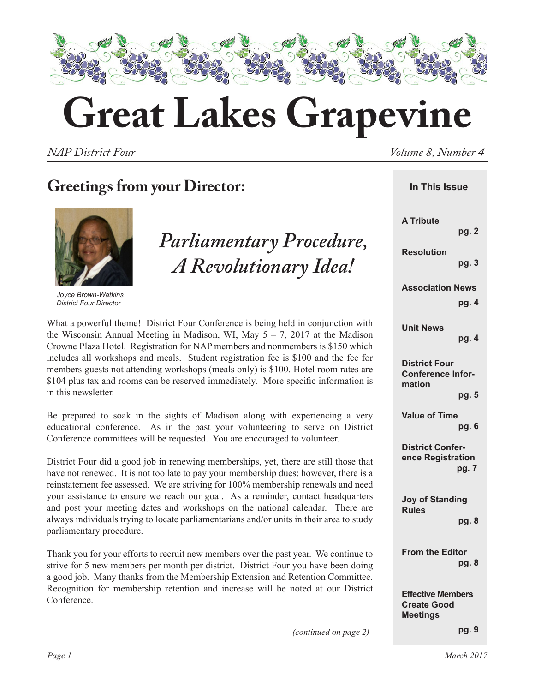

# **Great Lakes Grapevine**

*NAP District Four*  $V$  *NAP District Four* 

## **Greetings from your Director:**



*Joyce Brown-Watkins District Four Director*

*Parliamentary Procedure, A Revolutionary Idea!*

What a powerful theme! District Four Conference is being held in conjunction with the Wisconsin Annual Meeting in Madison, WI, May  $5 - 7$ , 2017 at the Madison Crowne Plaza Hotel. Registration for NAP members and nonmembers is \$150 which includes all workshops and meals. Student registration fee is \$100 and the fee for members guests not attending workshops (meals only) is \$100. Hotel room rates are \$104 plus tax and rooms can be reserved immediately. More specific information is in this newsletter.

Be prepared to soak in the sights of Madison along with experiencing a very educational conference. As in the past your volunteering to serve on District Conference committees will be requested. You are encouraged to volunteer.

District Four did a good job in renewing memberships, yet, there are still those that have not renewed. It is not too late to pay your membership dues; however, there is a reinstatement fee assessed. We are striving for 100% membership renewals and need your assistance to ensure we reach our goal. As a reminder, contact headquarters and post your meeting dates and workshops on the national calendar. There are always individuals trying to locate parliamentarians and/or units in their area to study parliamentary procedure.

Thank you for your efforts to recruit new members over the past year. We continue to strive for 5 new members per month per district. District Four you have been doing a good job. Many thanks from the Membership Extension and Retention Committee. Recognition for membership retention and increase will be noted at our District Conference.

| In This Issue                                                     |
|-------------------------------------------------------------------|
| <b>A Tribute</b><br>pg. 2                                         |
| <b>Resolution</b><br>pg. 3                                        |
| <b>Association News</b><br>pg. 4                                  |
| <b>Unit News</b><br>pg. 4                                         |
| <b>District Four</b><br><b>Conference Infor-</b><br>mation        |
| pg. 5<br><b>Value of Time</b><br>pg. 6                            |
| <b>District Confer-</b><br>ence Registration<br>pg. 7             |
| <b>Joy of Standing</b><br><b>Rules</b><br>pg. 8                   |
| <b>From the Editor</b><br>pg. 8                                   |
| <b>Effective Members</b><br><b>Create Good</b><br><b>Meetings</b> |

*(continued on page 2)*

 **pg. 9**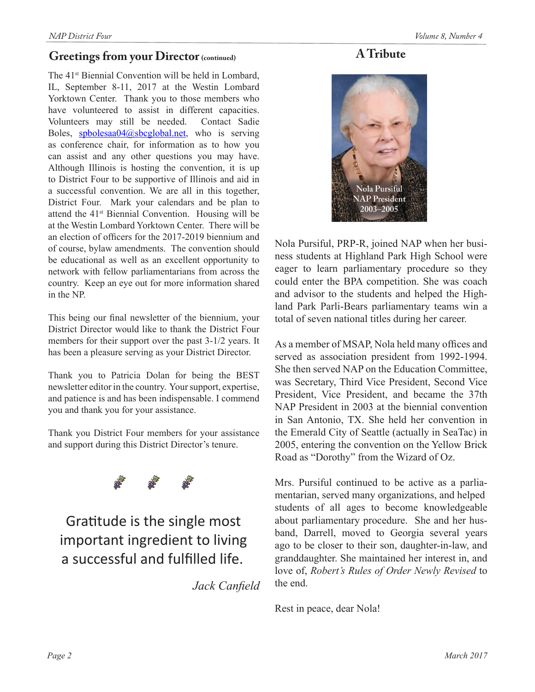#### **Greetings from your Director** (continued)

The 41<sup>st</sup> Biennial Convention will be held in Lombard, IL, September 8-11, 2017 at the Westin Lombard Yorktown Center. Thank you to those members who have volunteered to assist in different capacities. Volunteers may still be needed. Contact Sadie Boles, spbolesaa04@sbcglobal.net, who is serving as conference chair, for information as to how you can assist and any other questions you may have. Although Illinois is hosting the convention, it is up to District Four to be supportive of Illinois and aid in a successful convention. We are all in this together, District Four. Mark your calendars and be plan to attend the 41st Biennial Convention. Housing will be at the Westin Lombard Yorktown Center. There will be an election of officers for the 2017-2019 biennium and of course, bylaw amendments. The convention should be educational as well as an excellent opportunity to network with fellow parliamentarians from across the country. Keep an eye out for more information shared in the NP.

This being our final newsletter of the biennium, your District Director would like to thank the District Four members for their support over the past 3-1/2 years. It has been a pleasure serving as your District Director.

Thank you to Patricia Dolan for being the BEST newsletter editor in the country. Your support, expertise, and patience is and has been indispensable. I commend you and thank you for your assistance.

Thank you District Four members for your assistance and support during this District Director's tenure.

Gratitude is the single most important ingredient to living a successful and fulfilled life.

*Jack Canfield*

## **A Tribute**



Nola Pursiful, PRP-R, joined NAP when her business students at Highland Park High School were eager to learn parliamentary procedure so they could enter the BPA competition. She was coach and advisor to the students and helped the Highland Park Parli-Bears parliamentary teams win a total of seven national titles during her career.

As a member of MSAP, Nola held many offices and served as association president from 1992-1994. She then served NAP on the Education Committee, was Secretary, Third Vice President, Second Vice President, Vice President, and became the 37th NAP President in 2003 at the biennial convention in San Antonio, TX. She held her convention in the Emerald City of Seattle (actually in SeaTac) in 2005, entering the convention on the Yellow Brick Road as "Dorothy" from the Wizard of Oz.

Mrs. Pursiful continued to be active as a parliamentarian, served many organizations, and helped students of all ages to become knowledgeable about parliamentary procedure. She and her husband, Darrell, moved to Georgia several years ago to be closer to their son, daughter-in-law, and granddaughter. She maintained her interest in, and love of, *Robert's Rules of Order Newly Revised* to the end.

Rest in peace, dear Nola!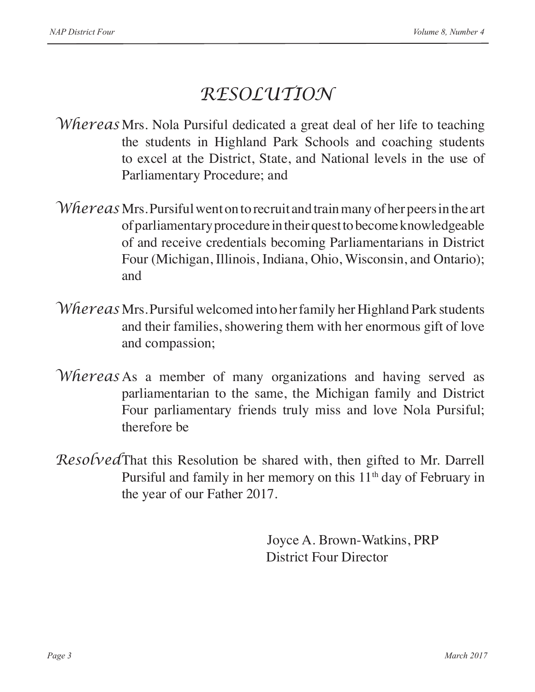## *RESOLUTION*

- *Whereas* Mrs. Nola Pursiful dedicated a great deal of her life to teaching the students in Highland Park Schools and coaching students to excel at the District, State, and National levels in the use of Parliamentary Procedure; and
- *Whereas* Mrs. Pursiful went on to recruit and train many of her peers in the art of parliamentary procedure in their quest to become knowledgeable of and receive credentials becoming Parliamentarians in District Four (Michigan, Illinois, Indiana, Ohio, Wisconsin, and Ontario); and
- *Whereas* Mrs. Pursiful welcomed into her family her Highland Park students and their families, showering them with her enormous gift of love and compassion;
- *Whereas* As a member of many organizations and having served as parliamentarian to the same, the Michigan family and District Four parliamentary friends truly miss and love Nola Pursiful; therefore be
- *Resolved*That this Resolution be shared with, then gifted to Mr. Darrell Pursiful and family in her memory on this  $11<sup>th</sup>$  day of February in the year of our Father 2017.

Joyce A. Brown-Watkins, PRP District Four Director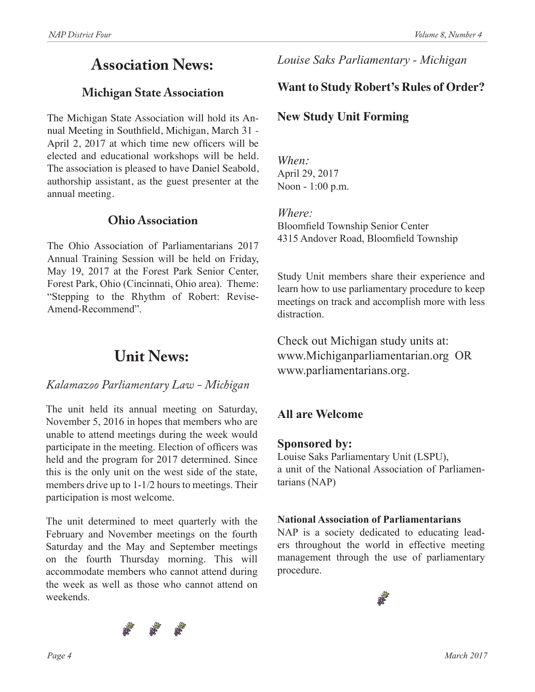## **Association News:**

## **Michigan State Association**

The Michigan State Association will hold its Annual Meeting in Southfield, Michigan, March 31 - April 2, 2017 at which time new officers will be elected and educational workshops will be held. The association is pleased to have Daniel Seabold, authorship assistant, as the guest presenter at the annual meeting.

## **Ohio Association**

The Ohio Association of Parliamentarians 2017 Annual Training Session will be held on Friday, May 19, 2017 at the Forest Park Senior Center, Forest Park, Ohio (Cincinnati, Ohio area). Theme: "Stepping to the Rhythm of Robert: Revise-Amend-Recommend".

## **Unit News:**

## *Kalamazoo Parliamentary Law - Michigan*

The unit held its annual meeting on Saturday, November 5, 2016 in hopes that members who are unable to attend meetings during the week would participate in the meeting. Election of officers was held and the program for 2017 determined. Since this is the only unit on the west side of the state, members drive up to 1-1/2 hours to meetings. Their participation is most welcome.

The unit determined to meet quarterly with the February and November meetings on the fourth Saturday and the May and September meetings on the fourth Thursday morning. This will accommodate members who cannot attend during the week as well as those who cannot attend on weekends.



## *Louise Saks Parliamentary - Michigan*

## **Want to Study Robert's Rules of Order?**

## **New Study Unit Forming**

*When:* April 29, 2017 Noon - 1:00 p.m.

#### *Where:*

Bloomfield Township Senior Center 4315 Andover Road, Bloomfield Township

Study Unit members share their experience and learn how to use parliamentary procedure to keep meetings on track and accomplish more with less distraction.

Check out Michigan study units at: www.Michiganparliamentarian.org OR www.parliamentarians.org.

## **All are Welcome**

## **Sponsored by:**

Louise Saks Parliamentary Unit (LSPU), a unit of the National Association of Parliamentarians (NAP)

#### **National Association of Parliamentarians**

NAP is a society dedicated to educating leaders throughout the world in effective meeting management through the use of parliamentary procedure.

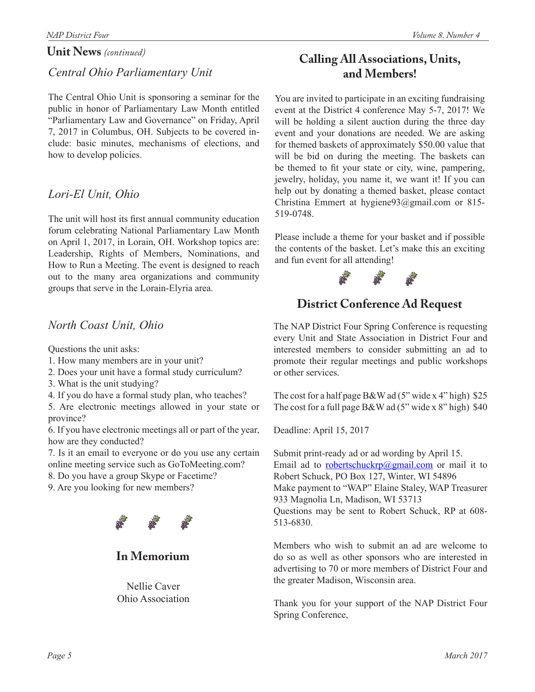#### **Unit News** *(continued)*

## *Central Ohio Parliamentary Unit*

The Central Ohio Unit is sponsoring a seminar for the public in honor of Parliamentary Law Month entitled "Parliamentary Law and Governance" on Friday, April 7, 2017 in Columbus, OH. Subjects to be covered include: basic minutes, mechanisms of elections, and how to develop policies.

## *Lori-El Unit, Ohio*

The unit will host its first annual community education forum celebrating National Parliamentary Law Month on April 1, 2017, in Lorain, OH. Workshop topics are: Leadership, Rights of Members, Nominations, and How to Run a Meeting. The event is designed to reach out to the many area organizations and community groups that serve in the Lorain-Elyria area.

## *North Coast Unit, Ohio*

Questions the unit asks:

- 1. How many members are in your unit?
- 2. Does your unit have a formal study curriculum?
- 3. What is the unit studying?
- 4. If you do have a formal study plan, who teaches?

5. Are electronic meetings allowed in your state or province?

6. If you have electronic meetings all or part of the year, how are they conducted?

7. Is it an email to everyone or do you use any certain online meeting service such as GoToMeeting.com?

8. Do you have a group Skype or Facetime?

9. Are you looking for new members?



**In Memorium**

Nellie Caver Ohio Association

## **Calling All Associations, Units, and Members!**

You are invited to participate in an exciting fundraising event at the District 4 conference May 5-7, 2017! We will be holding a silent auction during the three day event and your donations are needed. We are asking for themed baskets of approximately \$50.00 value that will be bid on during the meeting. The baskets can be themed to fit your state or city, wine, pampering, jewelry, holiday, you name it, we want it! If you can help out by donating a themed basket, please contact Christina Emmert at hygiene93@gmail.com or 815- 519-0748.

Please include a theme for your basket and if possible the contents of the basket. Let's make this an exciting and fun event for all attending!



## **District Conference Ad Request**

The NAP District Four Spring Conference is requesting every Unit and State Association in District Four and interested members to consider submitting an ad to promote their regular meetings and public workshops or other services.

The cost for a half page  $B&W$  ad (5" wide x 4" high) \$25 The cost for a full page B&W ad  $(5"$  wide x  $8"$  high) \$40

Deadline: April 15, 2017

Submit print-ready ad or ad wording by April 15. Email ad to robertschuckrp@gmail.com or mail it to Robert Schuck, PO Box 127, Winter, WI 54896 Make payment to "WAP" Elaine Staley, WAP Treasurer 933 Magnolia Ln, Madison, WI 53713 Questions may be sent to Robert Schuck, RP at 608- 513-6830.

Members who wish to submit an ad are welcome to do so as well as other sponsors who are interested in advertising to 70 or more members of District Four and the greater Madison, Wisconsin area.

Thank you for your support of the NAP District Four Spring Conference,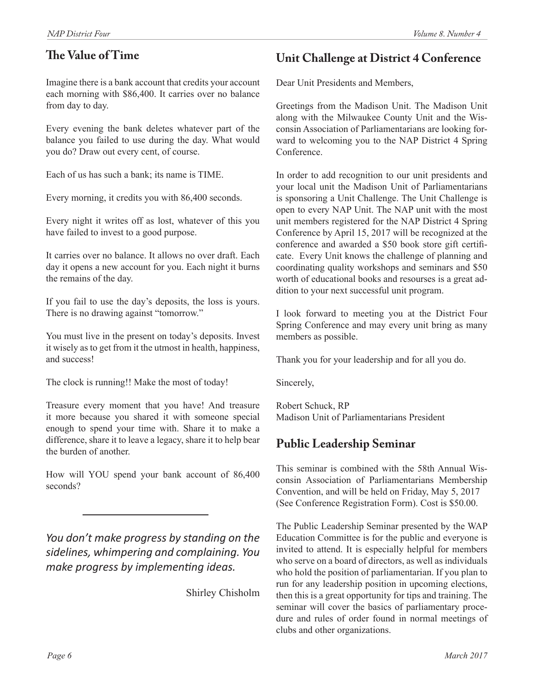## **The Value of Time**

Imagine there is a bank account that credits your account each morning with \$86,400. It carries over no balance from day to day.

Every evening the bank deletes whatever part of the balance you failed to use during the day. What would you do? Draw out every cent, of course.

Each of us has such a bank; its name is TIME.

Every morning, it credits you with 86,400 seconds.

Every night it writes off as lost, whatever of this you have failed to invest to a good purpose.

It carries over no balance. It allows no over draft. Each day it opens a new account for you. Each night it burns the remains of the day.

If you fail to use the day's deposits, the loss is yours. There is no drawing against "tomorrow."

You must live in the present on today's deposits. Invest it wisely as to get from it the utmost in health, happiness, and success!

The clock is running!! Make the most of today!

Treasure every moment that you have! And treasure it more because you shared it with someone special enough to spend your time with. Share it to make a difference, share it to leave a legacy, share it to help bear the burden of another.

How will YOU spend your bank account of 86,400 seconds?

*You don't make progress by standing on the sidelines, whimpering and complaining. You make progress by implementing ideas.*

Shirley Chisholm

## **Unit Challenge at District 4 Conference**

Dear Unit Presidents and Members,

Greetings from the Madison Unit. The Madison Unit along with the Milwaukee County Unit and the Wisconsin Association of Parliamentarians are looking forward to welcoming you to the NAP District 4 Spring Conference.

In order to add recognition to our unit presidents and your local unit the Madison Unit of Parliamentarians is sponsoring a Unit Challenge. The Unit Challenge is open to every NAP Unit. The NAP unit with the most unit members registered for the NAP District 4 Spring Conference by April 15, 2017 will be recognized at the conference and awarded a \$50 book store gift certificate. Every Unit knows the challenge of planning and coordinating quality workshops and seminars and \$50 worth of educational books and resourses is a great addition to your next successful unit program.

I look forward to meeting you at the District Four Spring Conference and may every unit bring as many members as possible.

Thank you for your leadership and for all you do.

Sincerely,

Robert Schuck, RP Madison Unit of Parliamentarians President

## **Public Leadership Seminar**

This seminar is combined with the 58th Annual Wisconsin Association of Parliamentarians Membership Convention, and will be held on Friday, May 5, 2017 (See Conference Registration Form). Cost is \$50.00.

The Public Leadership Seminar presented by the WAP Education Committee is for the public and everyone is invited to attend. It is especially helpful for members who serve on a board of directors, as well as individuals who hold the position of parliamentarian. If you plan to run for any leadership position in upcoming elections, then this is a great opportunity for tips and training. The seminar will cover the basics of parliamentary procedure and rules of order found in normal meetings of clubs and other organizations.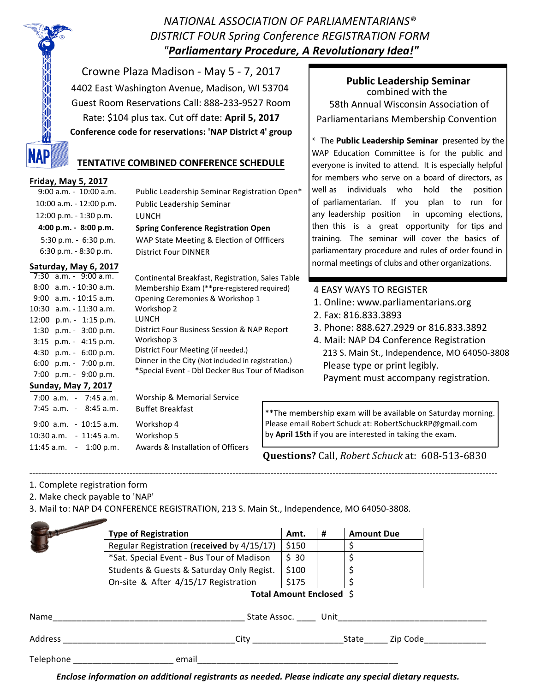*NATIONAL ASSOCIATION OF PARLIAMENTARIANS® DISTRICT FOUR Spring Conference REGISTRATION FORM "Parliamentary Procedure, A Revolutionary Idea!"*

Crowne Plaza Madison - May 5 - 7, 2017 4402 East Washington Avenue, Madison, WI 53704 Guest Room Reservations Call: 888-233-9527 Room Rate: \$104 plus tax. Cut off date: **April 5, 2017 Conference code for reservations: 'NAP District 4' group** 

## **TENTATIVE COMBINED CONFERENCE SCHEDULE**

#### **Friday,(May 5,(2017**

| $9:00$ a.m. - $10:00$ a.m. | Public Leadership Seminar Registration Open* |
|----------------------------|----------------------------------------------|
| $10:00$ a.m. $-12:00$ p.m. | Public Leadership Seminar                    |
| $12:00$ p.m. $-1:30$ p.m.  | LUNCH                                        |
|                            |                                              |
| $4:00$ p.m. $-8:00$ p.m.   | <b>Spring Conference Registration Open</b>   |
| $5:30$ p.m. $-6:30$ p.m.   | WAP State Meeting & Election of Offficers    |

#### **Saturday,(May 6,(2017**

|  | $7:30$ a.m. - 9:00 a.m.<br>$8:00$ a.m. $-10:30$ a.m.<br>$9:00$ a.m. $-10:15$ a.m.                                                  | Continental Breakfast, Registration, Sales Table<br>Membership Exam (**pre-registered required)<br>Opening Ceremonies & Workshop 1                                                                       | Z                |
|--|------------------------------------------------------------------------------------------------------------------------------------|----------------------------------------------------------------------------------------------------------------------------------------------------------------------------------------------------------|------------------|
|  | $10:30$ a.m. $-11:30$ a.m.<br>$12:00$ p.m. - 1:15 p.m.                                                                             | Workshop 2<br>LUNCH                                                                                                                                                                                      |                  |
|  | 1:30 $p.m. - 3:00 p.m.$<br>$3:15$ p.m. - 4:15 p.m.<br>4:30 p.m. $-6:00$ p.m.<br>6:00 p.m. $-7:00$ p.m.<br>7:00 $ p.m. - 9:00 p.m.$ | District Four Business Session & NAP Report<br>Workshop 3<br>District Four Meeting (if needed.)<br>Dinner in the City (Not included in registration.)<br>*Special Event - Dbl Decker Bus Tour of Madison | Z                |
|  | <b>Sunday, May 7, 2017</b>                                                                                                         |                                                                                                                                                                                                          |                  |
|  | $7:00$ a.m. $-7:45$ a.m.                                                                                                           | Worship & Memorial Service                                                                                                                                                                               |                  |
|  | $7:45$ a.m. - $8:45$ a.m.                                                                                                          | <b>Buffet Breakfast</b>                                                                                                                                                                                  | ** The membe     |
|  | $9:00$ a.m. - 10:15 a.m.                                                                                                           | Workshop 4                                                                                                                                                                                               | Please email R   |
|  | $10:30$ a.m. $-11:45$ a.m.                                                                                                         | Workshop 5                                                                                                                                                                                               | by April 15th it |

11:45 a.m. - 1:00 p.m. Awards & Installation of Officers

**Public Leadership Seminar** combined with the 58th Annual Wisconsin Association of Parliamentarians Membership Convention

\* The **Public Leadership Seminar** presented by the WAP Education Committee is for the public and everyone is invited to attend. It is especially helpful for members who serve on a board of directors, as well as individuals who hold the position of parliamentarian. If you plan to run for any leadership position in upcoming elections, then this is a great opportunity for tips and training. The seminar will cover the basics of parliamentary procedure and rules of order found in normal meetings of clubs and other organizations.

#### 4 EASY WAYS TO REGISTER

- 1. Online: www.parliamentarians.org
- 2. Fax: 816.833.3893
- 3. Phone: 888.627.2929 or 816.833.3892
- 4. Mail: NAP D4 Conference Registration 213 S. Main St., Independence, MO 64050-3808 Please type or print legibly. Payment must accompany registration.

rship exam will be available on Saturday morning. obert Schuck at: RobertSchuckRP@gmail.com by **April 15th** if you are interested in taking the exam.

**Questions?** Call, *Robert Schuck* at: 608-513-6830

#### VVVVV------VVVVVVVVVVVVVVVVVVVVVVVVVVVVVVVVVVVVVVVVVVVVVVVVVVVVVVVVVVVVVVVVVVVVVVVVVVVVVVVVVVVVVVVVVVVVVVVVVVVVVVVVVVVVVVVVVVVVVVVVVVVVVVVVVVVVVVVVVVVVVVVVVVVV 1. Complete registration form

2. Make check payable to 'NAP'

3. Mail to: NAP D4 CONFERENCE REGISTRATION, 213 S. Main St., Independence, MO 64050-3808.

|           | <b>Type of Registration</b>                                                                                                                                                                                                                  | Amt.  | #        | <b>Amount Due</b> |  |  |
|-----------|----------------------------------------------------------------------------------------------------------------------------------------------------------------------------------------------------------------------------------------------|-------|----------|-------------------|--|--|
|           | Regular Registration (received by 4/15/17)                                                                                                                                                                                                   | \$150 |          |                   |  |  |
|           | *Sat. Special Event - Bus Tour of Madison                                                                                                                                                                                                    | \$30  |          |                   |  |  |
|           | Students & Guests & Saturday Only Regist.                                                                                                                                                                                                    | \$100 |          |                   |  |  |
|           | On-site & After 4/15/17 Registration                                                                                                                                                                                                         | \$175 |          |                   |  |  |
|           | Total Amount Enclosed \$                                                                                                                                                                                                                     |       |          |                   |  |  |
| Name      | State Assoc. Unit                                                                                                                                                                                                                            |       |          |                   |  |  |
| Address   | City <b>City</b> and the control of the control of the control of the control of the control of the control of the control of the control of the control of the control of the control of the control of the control of the control<br>State |       | Zip Code |                   |  |  |
|           |                                                                                                                                                                                                                                              |       |          |                   |  |  |
| Telephone | email                                                                                                                                                                                                                                        |       |          |                   |  |  |

*Enclose,information,on,additional,registrants,as,needed.,Please,indicate,any,special,dietary,requests.,*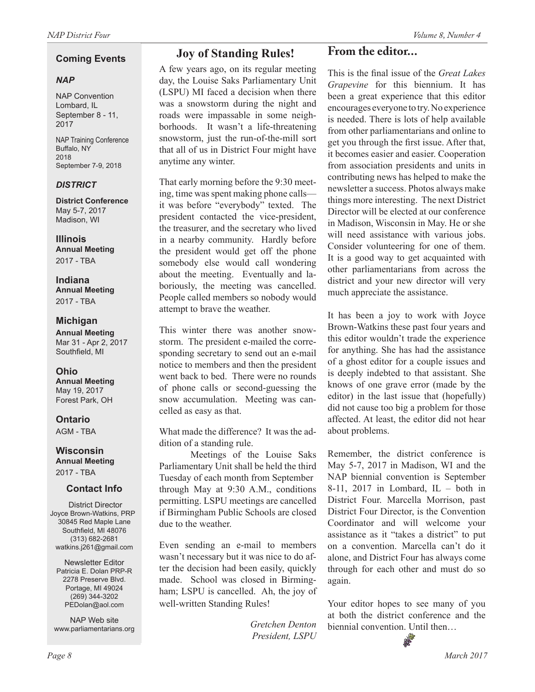#### **Coming Events**

#### *NAP*

NAP Convention Lombard, IL September 8 - 11, 2017

NAP Training Conference Buffalo, NY 2018 September 7-9, 2018

#### *DISTRICT*

**District Conference** May 5-7, 2017 Madison, WI

**Illinois Annual Meeting** 2017 - TBA

**Indiana Annual Meeting** 2017 - TBA

#### **Michigan**

**Annual Meeting** Mar 31 - Apr 2, 2017 Southfield, MI

**Ohio Annual Meeting** May 19, 2017 Forest Park, OH

**Ontario** AGM - TBA

#### **Wisconsin Annual Meeting**

2017 - TBA

#### **Contact Info**

District Director Joyce Brown-Watkins, PRP 30845 Red Maple Lane Southfield, MI 48076 (313) 682-2681 watkins.j261@gmail.com

Newsletter Editor Patricia E. Dolan PRP-R 2278 Preserve Blvd. Portage, MI 49024 (269) 344-3202 PEDolan@aol.com

NAP Web site www.parliamentarians.org A few years ago, on its regular meeting day, the Louise Saks Parliamentary Unit (LSPU) MI faced a decision when there was a snowstorm during the night and roads were impassable in some neighborhoods. It wasn't a life-threatening snowstorm, just the run-of-the-mill sort that all of us in District Four might have anytime any winter.

That early morning before the 9:30 meeting, time was spent making phone calls it was before "everybody" texted. The president contacted the vice-president, the treasurer, and the secretary who lived in a nearby community. Hardly before the president would get off the phone somebody else would call wondering about the meeting. Eventually and laboriously, the meeting was cancelled. People called members so nobody would attempt to brave the weather.

This winter there was another snowstorm. The president e-mailed the corresponding secretary to send out an e-mail notice to members and then the president went back to bed. There were no rounds of phone calls or second-guessing the snow accumulation. Meeting was cancelled as easy as that.

What made the difference? It was the addition of a standing rule.

Meetings of the Louise Saks Parliamentary Unit shall be held the third Tuesday of each month from September through May at 9:30 A.M., conditions permitting. LSPU meetings are cancelled if Birmingham Public Schools are closed due to the weather.

Even sending an e-mail to members wasn't necessary but it was nice to do after the decision had been easily, quickly made. School was closed in Birmingham; LSPU is cancelled. Ah, the joy of well-written Standing Rules!

> *Gretchen Denton President, LSPU*

## **From the editor...**

This is the final issue of the *Great Lakes Grapevine* for this biennium. It has been a great experience that this editor encourages everyone to try. No experience is needed. There is lots of help available from other parliamentarians and online to get you through the first issue. After that, it becomes easier and easier. Cooperation from association presidents and units in contributing news has helped to make the newsletter a success. Photos always make things more interesting. The next District Director will be elected at our conference in Madison, Wisconsin in May. He or she will need assistance with various jobs. Consider volunteering for one of them. It is a good way to get acquainted with other parliamentarians from across the district and your new director will very much appreciate the assistance.

It has been a joy to work with Joyce Brown-Watkins these past four years and this editor wouldn't trade the experience for anything. She has had the assistance of a ghost editor for a couple issues and is deeply indebted to that assistant. She knows of one grave error (made by the editor) in the last issue that (hopefully) did not cause too big a problem for those affected. At least, the editor did not hear about problems.

Remember, the district conference is May 5-7, 2017 in Madison, WI and the NAP biennial convention is September 8-11, 2017 in Lombard,  $IL - both$  in District Four. Marcella Morrison, past District Four Director, is the Convention Coordinator and will welcome your assistance as it "takes a district" to put on a convention. Marcella can't do it alone, and District Four has always come through for each other and must do so again.

Your editor hopes to see many of you at both the district conference and the biennial convention. Until then…